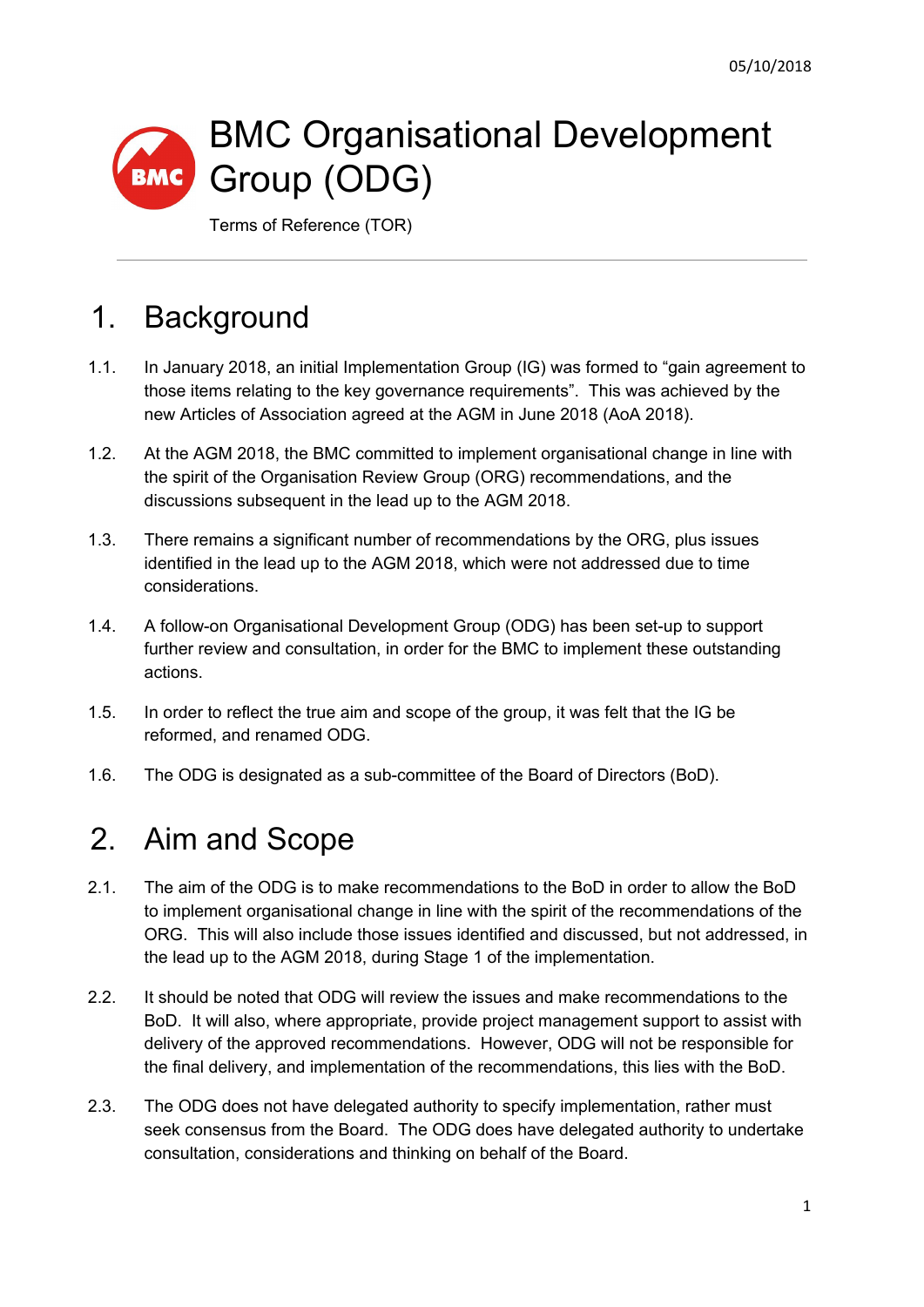# BMC Organisational Development Group (ODG)

Terms of Reference (TOR)

## 1. Background

- 1.1. In January 2018, an initial Implementation Group (IG) was formed to "gain agreement to those items relating to the key governance requirements". This was achieved by the new Articles of Association agreed at the AGM in June 2018 (AoA 2018).
- 1.2. At the AGM 2018, the BMC committed to implement organisational change in line with the spirit of the Organisation Review Group (ORG) recommendations, and the discussions subsequent in the lead up to the AGM 2018.
- 1.3. There remains a significant number of recommendations by the ORG, plus issues identified in the lead up to the AGM 2018, which were not addressed due to time considerations.
- 1.4. A follow-on Organisational Development Group (ODG) has been set-up to support further review and consultation, in order for the BMC to implement these outstanding actions.
- 1.5. In order to reflect the true aim and scope of the group, it was felt that the IG be reformed, and renamed ODG.
- 1.6. The ODG is designated as a sub-committee of the Board of Directors (BoD).

# 2. Aim and Scope

- 2.1. The aim of the ODG is to make recommendations to the BoD in order to allow the BoD to implement organisational change in line with the spirit of the recommendations of the ORG. This will also include those issues identified and discussed, but not addressed, in the lead up to the AGM 2018, during Stage 1 of the implementation.
- 2.2. It should be noted that ODG will review the issues and make recommendations to the BoD. It will also, where appropriate, provide project management support to assist with delivery of the approved recommendations. However, ODG will not be responsible for the final delivery, and implementation of the recommendations, this lies with the BoD.
- 2.3. The ODG does not have delegated authority to specify implementation, rather must seek consensus from the Board. The ODG does have delegated authority to undertake consultation, considerations and thinking on behalf of the Board.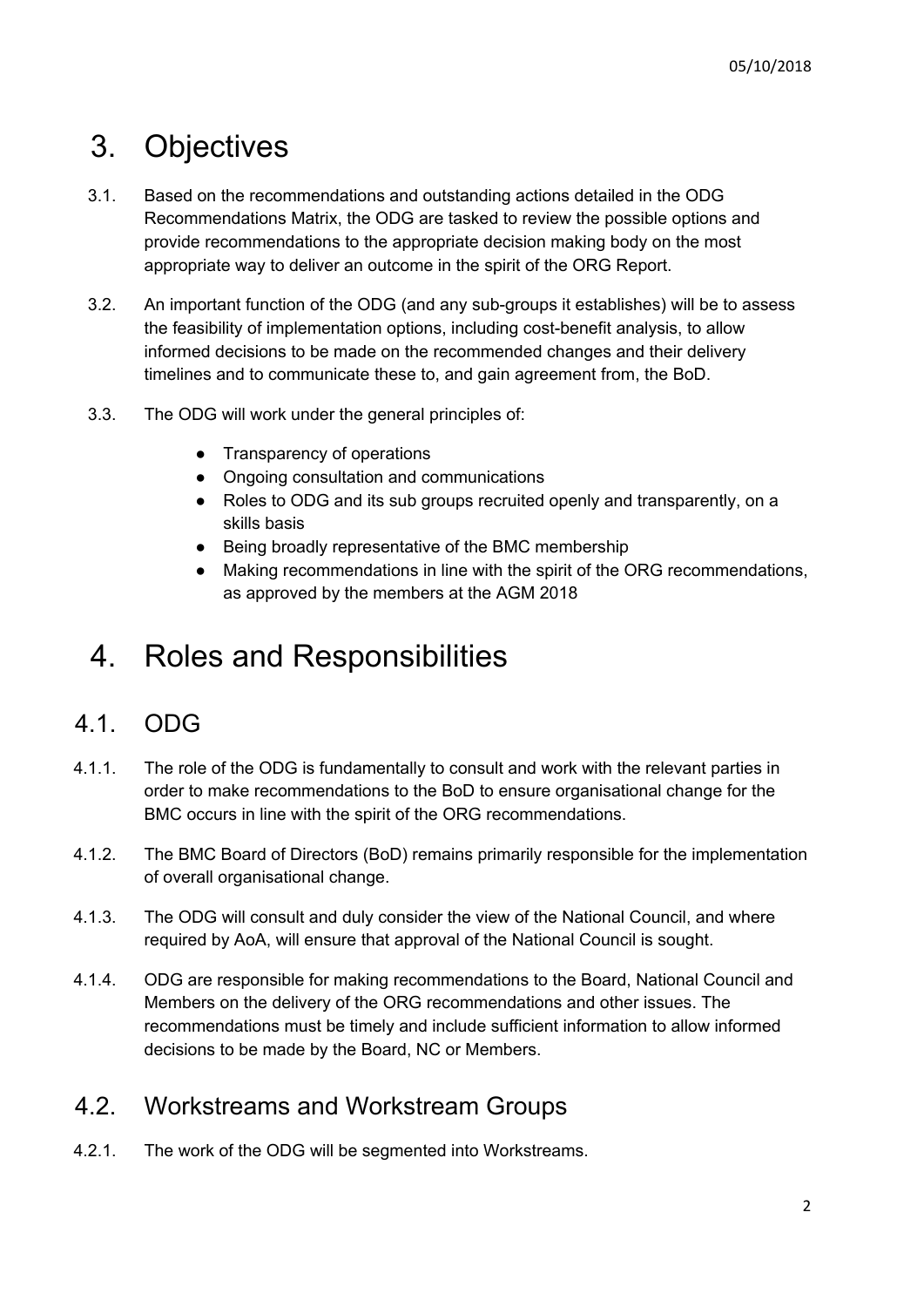# 3. Objectives

- 3.1. Based on the recommendations and outstanding actions detailed in the ODG Recommendations Matrix, the ODG are tasked to review the possible options and provide recommendations to the appropriate decision making body on the most appropriate way to deliver an outcome in the spirit of the ORG Report.
- 3.2. An important function of the ODG (and any sub-groups it establishes) will be to assess the feasibility of implementation options, including cost-benefit analysis, to allow informed decisions to be made on the recommended changes and their delivery timelines and to communicate these to, and gain agreement from, the BoD.
- 3.3. The ODG will work under the general principles of:
	- Transparency of operations
	- Ongoing consultation and communications
	- Roles to ODG and its sub groups recruited openly and transparently, on a skills basis
	- Being broadly representative of the BMC membership
	- Making recommendations in line with the spirit of the ORG recommendations, as approved by the members at the AGM 2018

### 4. Roles and Responsibilities

#### 4.1. ODG

- 4.1.1. The role of the ODG is fundamentally to consult and work with the relevant parties in order to make recommendations to the BoD to ensure organisational change for the BMC occurs in line with the spirit of the ORG recommendations.
- 4.1.2. The BMC Board of Directors (BoD) remains primarily responsible for the implementation of overall organisational change.
- 4.1.3. The ODG will consult and duly consider the view of the National Council, and where required by AoA, will ensure that approval of the National Council is sought.
- 4.1.4. ODG are responsible for making recommendations to the Board, National Council and Members on the delivery of the ORG recommendations and other issues. The recommendations must be timely and include sufficient information to allow informed decisions to be made by the Board, NC or Members.

#### 4.2. Workstreams and Workstream Groups

4.2.1. The work of the ODG will be segmented into Workstreams.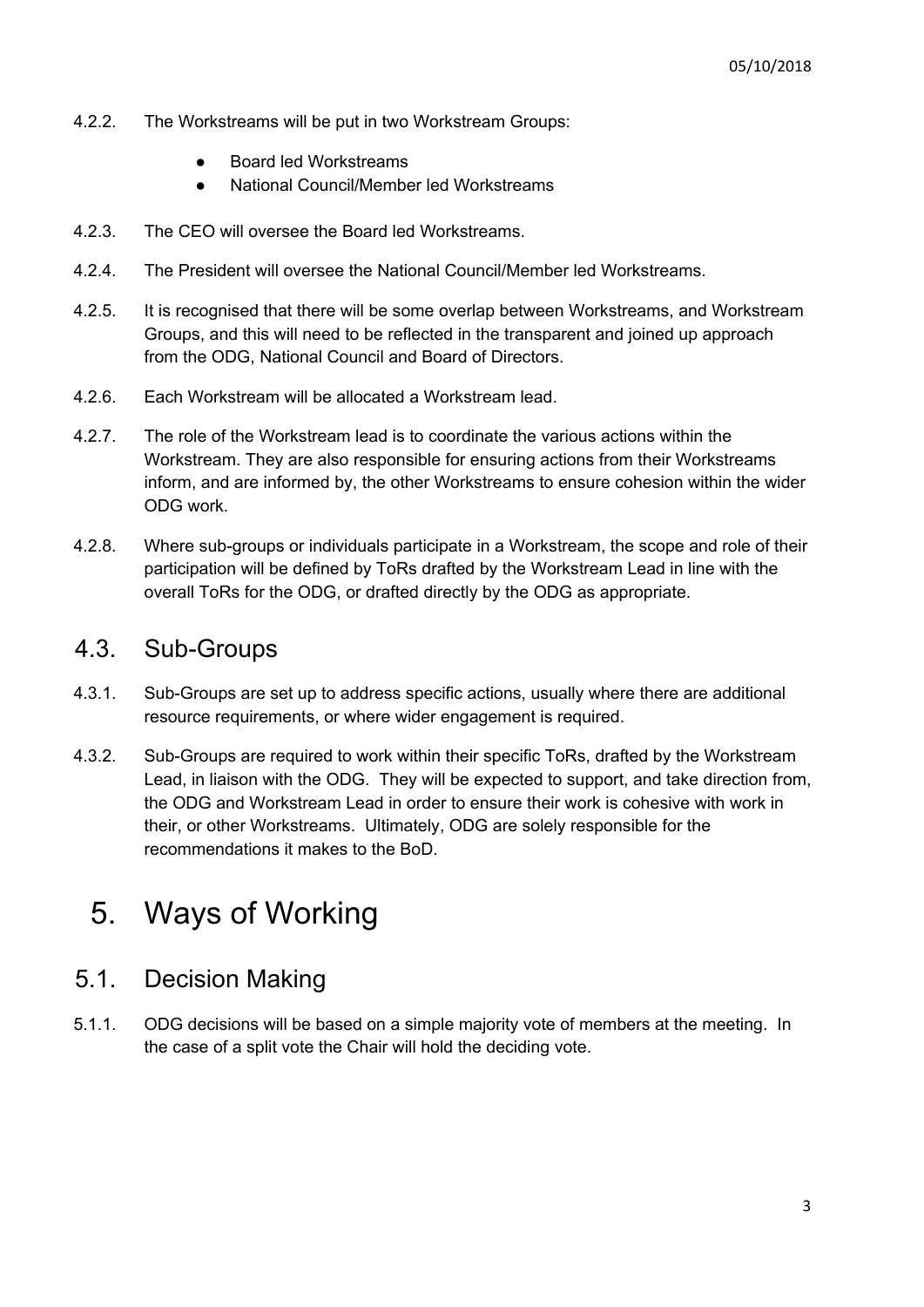- 4.2.2. The Workstreams will be put in two Workstream Groups:
	- **Board led Workstreams**
	- National Council/Member led Workstreams
- 4.2.3. The CEO will oversee the Board led Workstreams.
- 4.2.4. The President will oversee the National Council/Member led Workstreams.
- 4.2.5. It is recognised that there will be some overlap between Workstreams, and Workstream Groups, and this will need to be reflected in the transparent and joined up approach from the ODG, National Council and Board of Directors.
- 4.2.6. Each Workstream will be allocated a Workstream lead.
- 4.2.7. The role of the Workstream lead is to coordinate the various actions within the Workstream. They are also responsible for ensuring actions from their Workstreams inform, and are informed by, the other Workstreams to ensure cohesion within the wider ODG work.
- 4.2.8. Where sub-groups or individuals participate in a Workstream, the scope and role of their participation will be defined by ToRs drafted by the Workstream Lead in line with the overall ToRs for the ODG, or drafted directly by the ODG as appropriate.

#### 4.3. Sub-Groups

- 4.3.1. Sub-Groups are set up to address specific actions, usually where there are additional resource requirements, or where wider engagement is required.
- 4.3.2. Sub-Groups are required to work within their specific ToRs, drafted by the Workstream Lead, in liaison with the ODG. They will be expected to support, and take direction from, the ODG and Workstream Lead in order to ensure their work is cohesive with work in their, or other Workstreams. Ultimately, ODG are solely responsible for the recommendations it makes to the BoD.

### 5. Ways of Working

#### 5.1. Decision Making

5.1.1. ODG decisions will be based on a simple majority vote of members at the meeting. In the case of a split vote the Chair will hold the deciding vote.